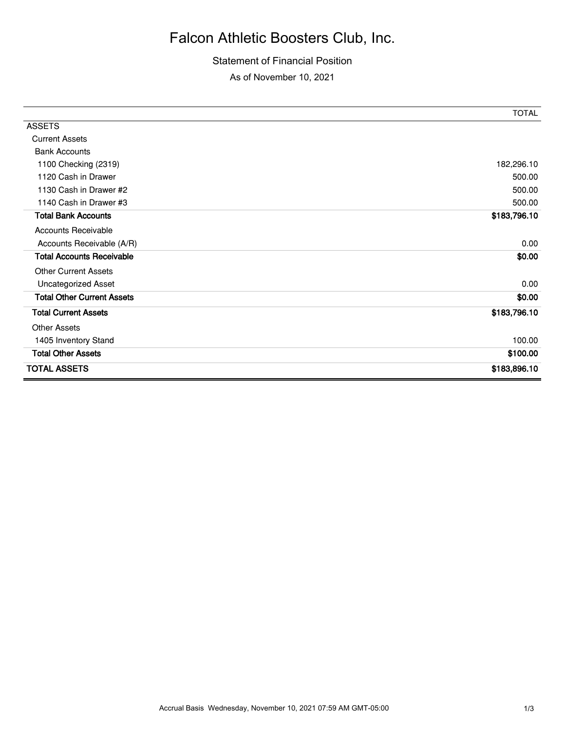## Falcon Athletic Boosters Club, Inc.

## Statement of Financial Position

As of November 10, 2021

|                                   | <b>TOTAL</b> |
|-----------------------------------|--------------|
| <b>ASSETS</b>                     |              |
| <b>Current Assets</b>             |              |
| <b>Bank Accounts</b>              |              |
| 1100 Checking (2319)              | 182,296.10   |
| 1120 Cash in Drawer               | 500.00       |
| 1130 Cash in Drawer #2            | 500.00       |
| 1140 Cash in Drawer #3            | 500.00       |
| <b>Total Bank Accounts</b>        | \$183,796.10 |
| <b>Accounts Receivable</b>        |              |
| Accounts Receivable (A/R)         | 0.00         |
| <b>Total Accounts Receivable</b>  | \$0.00       |
| <b>Other Current Assets</b>       |              |
| <b>Uncategorized Asset</b>        | 0.00         |
| <b>Total Other Current Assets</b> | \$0.00       |
| <b>Total Current Assets</b>       | \$183,796.10 |
| <b>Other Assets</b>               |              |
| 1405 Inventory Stand              | 100.00       |
| <b>Total Other Assets</b>         | \$100.00     |
| <b>TOTAL ASSETS</b>               | \$183,896.10 |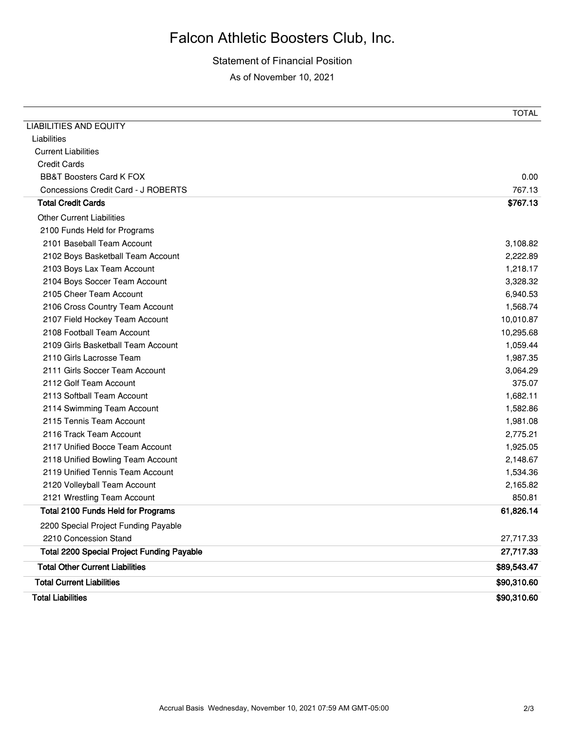## Falcon Athletic Boosters Club, Inc.

Statement of Financial Position As of November 10, 2021

|                                                   | TOTAL       |
|---------------------------------------------------|-------------|
| <b>LIABILITIES AND EQUITY</b>                     |             |
| Liabilities                                       |             |
| <b>Current Liabilities</b>                        |             |
| <b>Credit Cards</b>                               |             |
| <b>BB&amp;T Boosters Card K FOX</b>               | 0.00        |
| Concessions Credit Card - J ROBERTS               | 767.13      |
| <b>Total Credit Cards</b>                         | \$767.13    |
| <b>Other Current Liabilities</b>                  |             |
| 2100 Funds Held for Programs                      |             |
| 2101 Baseball Team Account                        | 3,108.82    |
| 2102 Boys Basketball Team Account                 | 2,222.89    |
| 2103 Boys Lax Team Account                        | 1,218.17    |
| 2104 Boys Soccer Team Account                     | 3,328.32    |
| 2105 Cheer Team Account                           | 6,940.53    |
| 2106 Cross Country Team Account                   | 1,568.74    |
| 2107 Field Hockey Team Account                    | 10,010.87   |
| 2108 Football Team Account                        | 10,295.68   |
| 2109 Girls Basketball Team Account                | 1,059.44    |
| 2110 Girls Lacrosse Team                          | 1,987.35    |
| 2111 Girls Soccer Team Account                    | 3,064.29    |
| 2112 Golf Team Account                            | 375.07      |
| 2113 Softball Team Account                        | 1,682.11    |
| 2114 Swimming Team Account                        | 1,582.86    |
| 2115 Tennis Team Account                          | 1,981.08    |
| 2116 Track Team Account                           | 2,775.21    |
| 2117 Unified Bocce Team Account                   | 1,925.05    |
| 2118 Unified Bowling Team Account                 | 2,148.67    |
| 2119 Unified Tennis Team Account                  | 1,534.36    |
| 2120 Volleyball Team Account                      | 2,165.82    |
| 2121 Wrestling Team Account                       | 850.81      |
| <b>Total 2100 Funds Held for Programs</b>         | 61,826.14   |
| 2200 Special Project Funding Payable              |             |
| 2210 Concession Stand                             | 27,717.33   |
| <b>Total 2200 Special Project Funding Payable</b> | 27,717.33   |
| <b>Total Other Current Liabilities</b>            | \$89,543.47 |
| <b>Total Current Liabilities</b>                  | \$90,310.60 |
| <b>Total Liabilities</b>                          | \$90,310.60 |